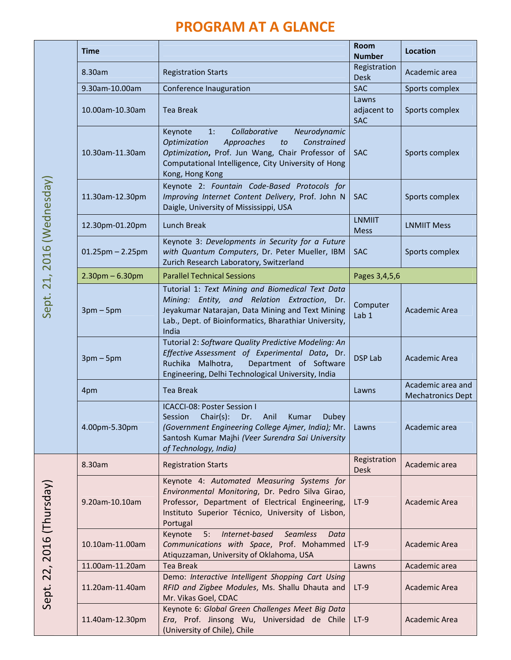## PROGRAM AT A GLANCE

|  | <b>Time</b>            |                                                                                                                                                                                                                                 | <b>Room</b><br><b>Number</b>       | Location                                      |
|--|------------------------|---------------------------------------------------------------------------------------------------------------------------------------------------------------------------------------------------------------------------------|------------------------------------|-----------------------------------------------|
|  | 8.30am                 | <b>Registration Starts</b>                                                                                                                                                                                                      | Registration<br><b>Desk</b>        | Academic area                                 |
|  | 9.30am-10.00am         | Conference Inauguration                                                                                                                                                                                                         | <b>SAC</b>                         | Sports complex                                |
|  | 10.00am-10.30am        | <b>Tea Break</b>                                                                                                                                                                                                                | Lawns<br>adjacent to<br><b>SAC</b> | Sports complex                                |
|  | 10.30am-11.30am        | Keynote<br>Collaborative<br>Neurodynamic<br>1:<br>Approaches<br>Constrained<br>Optimization<br>to<br>Optimization, Prof. Jun Wang, Chair Professor of<br>Computational Intelligence, City University of Hong<br>Kong, Hong Kong | <b>SAC</b>                         | Sports complex                                |
|  | 11.30am-12.30pm        | Keynote 2: Fountain Code-Based Protocols for<br>Improving Internet Content Delivery, Prof. John N<br>Daigle, University of Mississippi, USA                                                                                     | <b>SAC</b>                         | Sports complex                                |
|  | 12.30pm-01.20pm        | Lunch Break                                                                                                                                                                                                                     | <b>LNMIIT</b><br><b>Mess</b>       | <b>LNMIIT Mess</b>                            |
|  | $01.25$ pm $- 2.25$ pm | Keynote 3: Developments in Security for a Future<br>with Quantum Computers, Dr. Peter Mueller, IBM<br>Zurich Research Laboratory, Switzerland                                                                                   | <b>SAC</b>                         | Sports complex                                |
|  | $2.30$ pm – 6.30pm     | <b>Parallel Technical Sessions</b>                                                                                                                                                                                              | Pages 3,4,5,6                      |                                               |
|  | $3pm-5pm$              | Tutorial 1: Text Mining and Biomedical Text Data<br>Mining: Entity, and Relation Extraction, Dr.<br>Jeyakumar Natarajan, Data Mining and Text Mining<br>Lab., Dept. of Bioinformatics, Bharathiar University,<br>India          | Computer<br>Lab <sub>1</sub>       | Academic Area                                 |
|  | $3pm-5pm$              | Tutorial 2: Software Quality Predictive Modeling: An<br>Effective Assessment of Experimental Data, Dr.<br>Department of Software<br>Ruchika Malhotra,<br>Engineering, Delhi Technological University, India                     | <b>DSP Lab</b>                     | Academic Area                                 |
|  | 4pm                    | <b>Tea Break</b>                                                                                                                                                                                                                | Lawns                              | Academic area and<br><b>Mechatronics Dept</b> |
|  | 4.00pm-5.30pm          | ICACCI-08: Poster Session I<br>$Chair(s)$ :<br>Dr. Anil<br>Kumar<br>Session<br><b>Dubey</b><br>(Government Engineering College Ajmer, India); Mr.<br>Santosh Kumar Majhi (Veer Surendra Sai University<br>of Technology, India) | Lawns                              | Academic area                                 |
|  | 8.30am                 | <b>Registration Starts</b>                                                                                                                                                                                                      | Registration<br><b>Desk</b>        | Academic area                                 |
|  | 9.20am-10.10am         | Keynote 4: Automated Measuring Systems for<br>Environmental Monitoring, Dr. Pedro Silva Girao,<br>Professor, Department of Electrical Engineering,<br>Instituto Superior Técnico, University of Lisbon,<br>Portugal             | $LT-9$                             | Academic Area                                 |
|  | 10.10am-11.00am        | Internet-based<br><b>Seamless</b><br>Keynote<br>5:<br>Data<br>Communications with Space, Prof. Mohammed<br>Atiquzzaman, University of Oklahoma, USA                                                                             | $LT-9$                             | Academic Area                                 |
|  | 11.00am-11.20am        | <b>Tea Break</b>                                                                                                                                                                                                                | Lawns                              | Academic area                                 |
|  | 11.20am-11.40am        | Demo: Interactive Intelligent Shopping Cart Using<br>RFID and Zigbee Modules, Ms. Shallu Dhauta and<br>Mr. Vikas Goel, CDAC                                                                                                     | $LT-9$                             | Academic Area                                 |
|  | 11.40am-12.30pm        | Keynote 6: Global Green Challenges Meet Big Data<br>Era, Prof. Jinsong Wu, Universidad de Chile<br>(University of Chile), Chile                                                                                                 | $LT-9$                             | Academic Area                                 |

Sept. 21, 2016 (Wednesday) Sept. 21, 2016 (Wednesday)

Sept. 22, 2016 (Thursday) Sept. 22, 2016 (Thursday)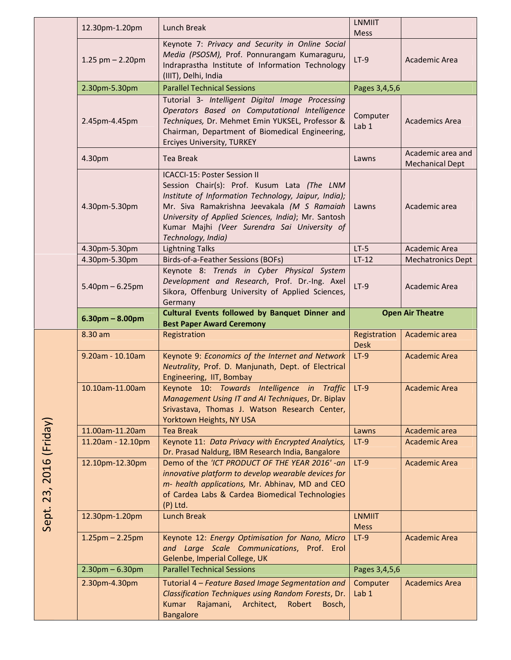| 12.30pm-1.20pm        | Lunch Break                                                                                                                                                                                                                                                                                                            | <b>LNMIIT</b><br>Mess        |                                             |
|-----------------------|------------------------------------------------------------------------------------------------------------------------------------------------------------------------------------------------------------------------------------------------------------------------------------------------------------------------|------------------------------|---------------------------------------------|
| 1.25 pm $- 2.20$ pm   | Keynote 7: Privacy and Security in Online Social<br>Media (PSOSM), Prof. Ponnurangam Kumaraguru,<br>Indraprastha Institute of Information Technology<br>(IIIT), Delhi, India                                                                                                                                           | $LT-9$                       | Academic Area                               |
| 2.30pm-5.30pm         | <b>Parallel Technical Sessions</b>                                                                                                                                                                                                                                                                                     | Pages 3,4,5,6                |                                             |
| 2.45pm-4.45pm         | Tutorial 3- Intelligent Digital Image Processing<br>Operators Based on Computational Intelligence<br>Techniques, Dr. Mehmet Emin YUKSEL, Professor &<br>Chairman, Department of Biomedical Engineering,<br><b>Erciyes University, TURKEY</b>                                                                           | Computer<br>Lab <sub>1</sub> | <b>Academics Area</b>                       |
| 4.30pm                | <b>Tea Break</b>                                                                                                                                                                                                                                                                                                       | Lawns                        | Academic area and<br><b>Mechanical Dept</b> |
| 4.30pm-5.30pm         | <b>ICACCI-15: Poster Session II</b><br>Session Chair(s): Prof. Kusum Lata (The LNM<br>Institute of Information Technology, Jaipur, India);<br>Mr. Siva Ramakrishna Jeevakala (M S Ramaiah<br>University of Applied Sciences, India); Mr. Santosh<br>Kumar Majhi (Veer Surendra Sai University of<br>Technology, India) | Lawns                        | Academic area                               |
| 4.30pm-5.30pm         | <b>Lightning Talks</b>                                                                                                                                                                                                                                                                                                 | $LT-5$                       | Academic Area                               |
| 4.30pm-5.30pm         | Birds-of-a-Feather Sessions (BOFs)                                                                                                                                                                                                                                                                                     | $LT-12$                      | <b>Mechatronics Dept</b>                    |
| $5.40$ pm $- 6.25$ pm | Keynote 8: Trends in Cyber Physical System<br>Development and Research, Prof. Dr.-Ing. Axel<br>Sikora, Offenburg University of Applied Sciences,<br>Germany                                                                                                                                                            | $LT-9$                       | Academic Area                               |
|                       | Cultural Events followed by Banquet Dinner and                                                                                                                                                                                                                                                                         | <b>Open Air Theatre</b>      |                                             |
| $6.30pm - 8.00pm$     |                                                                                                                                                                                                                                                                                                                        |                              |                                             |
| 8.30 am               | <b>Best Paper Award Ceremony</b><br>Registration                                                                                                                                                                                                                                                                       | Registration<br><b>Desk</b>  | Academic area                               |
| 9.20am - 10.10am      | Keynote 9: Economics of the Internet and Network<br>Neutrality, Prof. D. Manjunath, Dept. of Electrical<br>Engineering, IIT, Bombay                                                                                                                                                                                    | $LT-9$                       | <b>Academic Area</b>                        |
| 10.10am-11.00am       | Keynote 10: Towards Intelligence in Traffic LT-9<br>Management Using IT and AI Techniques, Dr. Biplav<br>Srivastava, Thomas J. Watson Research Center,<br>Yorktown Heights, NY USA                                                                                                                                     |                              | Academic Area                               |
| 11.00am-11.20am       | <b>Tea Break</b>                                                                                                                                                                                                                                                                                                       | Lawns                        | Academic area                               |
| 11.20am - 12.10pm     | Keynote 11: Data Privacy with Encrypted Analytics,<br>Dr. Prasad Naldurg, IBM Research India, Bangalore                                                                                                                                                                                                                | $LT-9$                       | <b>Academic Area</b>                        |
| 12.10pm-12.30pm       | Demo of the 'ICT PRODUCT OF THE YEAR 2016' -an<br>innovative platform to develop wearable devices for<br>m- health applications, Mr. Abhinav, MD and CEO<br>of Cardea Labs & Cardea Biomedical Technologies<br>$(P)$ Ltd.                                                                                              | $LT-9$                       | <b>Academic Area</b>                        |
| 12.30pm-1.20pm        | <b>Lunch Break</b>                                                                                                                                                                                                                                                                                                     | <b>LNMIIT</b><br><b>Mess</b> |                                             |
| $1.25$ pm $- 2.25$ pm | Keynote 12: Energy Optimisation for Nano, Micro<br>and Large Scale Communications, Prof. Erol<br>Gelenbe, Imperial College, UK                                                                                                                                                                                         | $LT-9$                       | <b>Academic Area</b>                        |
| $2.30$ pm $- 6.30$ pm | <b>Parallel Technical Sessions</b>                                                                                                                                                                                                                                                                                     | Pages 3,4,5,6                |                                             |

Sept. 23, 2016 (Friday) Sept. 23, 2016 (Friday)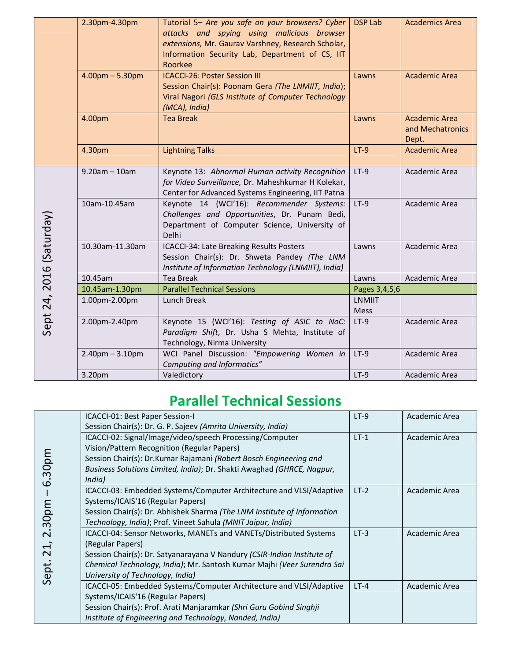|                          | 2.30pm-4.30pm         | Tutorial 5- Are you safe on your browsers? Cyber<br>attacks and spying using malicious browser<br>extensions, Mr. Gaurav Varshney, Research Scholar,<br>Information Security Lab, Department of CS, IIT<br>Roorkee | <b>DSP Lab</b>        | <b>Academics Area</b>                      |
|--------------------------|-----------------------|--------------------------------------------------------------------------------------------------------------------------------------------------------------------------------------------------------------------|-----------------------|--------------------------------------------|
|                          | $4.00pm - 5.30pm$     | <b>ICACCI-26: Poster Session III</b><br>Session Chair(s): Poonam Gera (The LNMIIT, India);<br>Viral Nagori (GLS Institute of Computer Technology<br>(MCA), India)                                                  | Lawns                 | <b>Academic Area</b>                       |
|                          | 4.00pm                | <b>Tea Break</b>                                                                                                                                                                                                   | Lawns                 | Academic Area<br>and Mechatronics<br>Dept. |
|                          | 4.30pm                | <b>Lightning Talks</b>                                                                                                                                                                                             | $LT-9$                | <b>Academic Area</b>                       |
|                          | $9.20$ am $-10$ am    | Keynote 13: Abnormal Human activity Recognition<br>for Video Surveillance, Dr. Maheshkumar H Kolekar,<br>Center for Advanced Systems Engineering, IIT Patna                                                        | $LT-9$                | Academic Area                              |
|                          | 10am-10.45am          | Keynote 14 (WCI'16): Recommender Systems:<br>Challenges and Opportunities, Dr. Punam Bedi,<br>Department of Computer Science, University of<br>Delhi                                                               | $LT-9$                | Academic Area                              |
| Sept 24, 2016 (Saturday) | 10.30am-11.30am       | ICACCI-34: Late Breaking Results Posters<br>Session Chair(s): Dr. Shweta Pandey (The LNM<br>Institute of Information Technology (LNMIIT), India)                                                                   | Lawns                 | Academic Area                              |
|                          | 10.45am               | Tea Break                                                                                                                                                                                                          | Lawns                 | Academic Area                              |
|                          | 10.45am-1.30pm        | <b>Parallel Technical Sessions</b>                                                                                                                                                                                 | Pages 3,4,5,6         |                                            |
|                          | 1.00pm-2.00pm         | Lunch Break                                                                                                                                                                                                        | <b>LNMIIT</b><br>Mess |                                            |
|                          | 2.00pm-2.40pm         | Keynote 15 (WCI'16): Testing of ASIC to NoC:<br>Paradigm Shift, Dr. Usha S Mehta, Institute of<br>Technology, Nirma University                                                                                     | $LT-9$                | Academic Area                              |
|                          | $2.40$ pm $- 3.10$ pm | WCI Panel Discussion: "Empowering Women in<br>Computing and Informatics"                                                                                                                                           | $LT-9$                | Academic Area                              |
|                          | 3.20pm                | Valedictory                                                                                                                                                                                                        | $LT-9$                | Academic Area                              |

## Parallel Technical Sessions

|                          | ICACCI-01: Best Paper Session-I                                         | $LT-9$ | Academic Area |
|--------------------------|-------------------------------------------------------------------------|--------|---------------|
|                          | Session Chair(s): Dr. G. P. Sajeev (Amrita University, India)           |        |               |
|                          | ICACCI-02: Signal/Image/video/speech Processing/Computer                | $LT-1$ | Academic Area |
|                          | Vision/Pattern Recognition (Regular Papers)                             |        |               |
|                          | Session Chair(s): Dr.Kumar Rajamani (Robert Bosch Engineering and       |        |               |
| 30pm                     | Business Solutions Limited, India); Dr. Shakti Awaghad (GHRCE, Nagpur,  |        |               |
| $\Omega$                 | India)                                                                  |        |               |
|                          | ICACCI-03: Embedded Systems/Computer Architecture and VLSI/Adaptive     | $LT-2$ | Academic Area |
|                          | Systems/ICAIS'16 (Regular Papers)                                       |        |               |
|                          | Session Chair(s): Dr. Abhishek Sharma (The LNM Institute of Information |        |               |
| 30pm                     | Technology, India); Prof. Vineet Sahula (MNIT Jaipur, India)            |        |               |
| $\mathbf{\Omega}$        | ICACCI-04: Sensor Networks, MANETs and VANETs/Distributed Systems       | $LT-3$ | Academic Area |
| $\overline{\phantom{0}}$ | (Regular Papers)                                                        |        |               |
| $\sim$                   | Session Chair(s): Dr. Satyanarayana V Nandury (CSIR-Indian Institute of |        |               |
|                          | Chemical Technology, India); Mr. Santosh Kumar Majhi (Veer Surendra Sai |        |               |
| Sept.                    | University of Technology, India)                                        |        |               |
|                          | ICACCI-05: Embedded Systems/Computer Architecture and VLSI/Adaptive     | $LT-4$ | Academic Area |
|                          | Systems/ICAIS'16 (Regular Papers)                                       |        |               |
|                          | Session Chair(s): Prof. Arati Manjaramkar (Shri Guru Gobind Singhji     |        |               |
|                          | Institute of Engineering and Technology, Nanded, India)                 |        |               |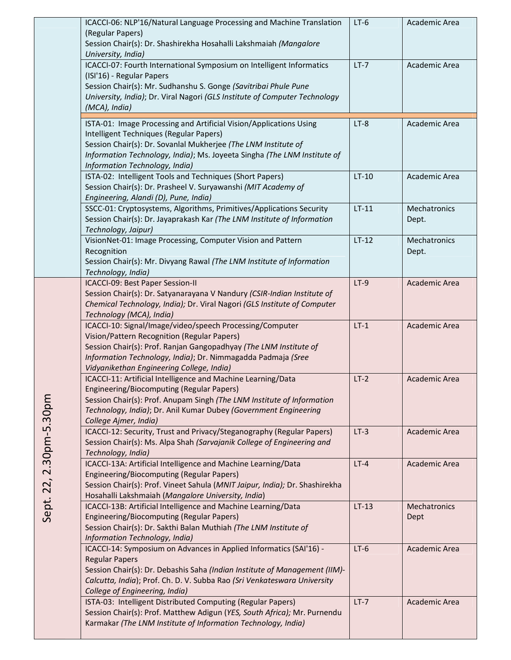| ICACCI-06: NLP'16/Natural Language Processing and Machine Translation                               | $LT-6$  | Academic Area |
|-----------------------------------------------------------------------------------------------------|---------|---------------|
| (Regular Papers)                                                                                    |         |               |
| Session Chair(s): Dr. Shashirekha Hosahalli Lakshmaiah (Mangalore                                   |         |               |
| University, India)                                                                                  |         |               |
| ICACCI-07: Fourth International Symposium on Intelligent Informatics                                | $LT-7$  | Academic Area |
| (ISI'16) - Regular Papers                                                                           |         |               |
| Session Chair(s): Mr. Sudhanshu S. Gonge (Savitribai Phule Pune                                     |         |               |
| University, India); Dr. Viral Nagori (GLS Institute of Computer Technology                          |         |               |
| (MCA), India)                                                                                       |         |               |
| ISTA-01: Image Processing and Artificial Vision/Applications Using                                  | $LT-8$  | Academic Area |
| Intelligent Techniques (Regular Papers)                                                             |         |               |
| Session Chair(s): Dr. Sovanlal Mukherjee (The LNM Institute of                                      |         |               |
| Information Technology, India); Ms. Joyeeta Singha (The LNM Institute of                            |         |               |
| Information Technology, India)                                                                      |         |               |
| ISTA-02: Intelligent Tools and Techniques (Short Papers)                                            | $LT-10$ | Academic Area |
| Session Chair(s): Dr. Prasheel V. Suryawanshi (MIT Academy of                                       |         |               |
| Engineering, Alandi (D), Pune, India)                                                               |         |               |
| SSCC-01: Cryptosystems, Algorithms, Primitives/Applications Security                                | $LT-11$ | Mechatronics  |
| Session Chair(s): Dr. Jayaprakash Kar (The LNM Institute of Information                             |         | Dept.         |
| Technology, Jaipur)                                                                                 |         |               |
| VisionNet-01: Image Processing, Computer Vision and Pattern                                         | $LT-12$ | Mechatronics  |
| Recognition                                                                                         |         | Dept.         |
| Session Chair(s): Mr. Divyang Rawal (The LNM Institute of Information                               |         |               |
| Technology, India)                                                                                  |         |               |
| ICACCI-09: Best Paper Session-II                                                                    | $LT-9$  | Academic Area |
| Session Chair(s): Dr. Satyanarayana V Nandury (CSIR-Indian Institute of                             |         |               |
| Chemical Technology, India); Dr. Viral Nagori (GLS Institute of Computer                            |         |               |
| Technology (MCA), India)                                                                            |         |               |
| ICACCI-10: Signal/Image/video/speech Processing/Computer                                            | $LT-1$  | Academic Area |
| Vision/Pattern Recognition (Regular Papers)                                                         |         |               |
| Session Chair(s): Prof. Ranjan Gangopadhyay (The LNM Institute of                                   |         |               |
| Information Technology, India); Dr. Nimmagadda Padmaja (Sree                                        |         |               |
| Vidyanikethan Engineering College, India)                                                           |         |               |
| ICACCI-11: Artificial Intelligence and Machine Learning/Data                                        | $LT-2$  | Academic Area |
| Engineering/Biocomputing (Regular Papers)                                                           |         |               |
| Session Chair(s): Prof. Anupam Singh (The LNM Institute of Information                              |         |               |
| Technology, India); Dr. Anil Kumar Dubey (Government Engineering                                    |         |               |
| College Ajmer, India)                                                                               |         |               |
| ICACCI-12: Security, Trust and Privacy/Steganography (Regular Papers)                               | $LT-3$  | Academic Area |
| Session Chair(s): Ms. Alpa Shah (Sarvajanik College of Engineering and                              |         |               |
| Technology, India)                                                                                  |         |               |
| ICACCI-13A: Artificial Intelligence and Machine Learning/Data                                       | $LT-4$  | Academic Area |
| <b>Engineering/Biocomputing (Regular Papers)</b>                                                    |         |               |
| Session Chair(s): Prof. Vineet Sahula (MNIT Jaipur, India); Dr. Shashirekha                         |         |               |
| Hosahalli Lakshmaiah (Mangalore University, India)                                                  |         |               |
| ICACCI-13B: Artificial Intelligence and Machine Learning/Data                                       | $LT-13$ | Mechatronics  |
| <b>Engineering/Biocomputing (Regular Papers)</b>                                                    |         | Dept          |
| Session Chair(s): Dr. Sakthi Balan Muthiah (The LNM Institute of<br>Information Technology, India)  |         |               |
| ICACCI-14: Symposium on Advances in Applied Informatics (SAI'16) -                                  | $LT-6$  | Academic Area |
|                                                                                                     |         |               |
| <b>Regular Papers</b><br>Session Chair(s): Dr. Debashis Saha (Indian Institute of Management (IIM)- |         |               |
| Calcutta, India); Prof. Ch. D. V. Subba Rao (Sri Venkateswara University                            |         |               |
| College of Engineering, India)                                                                      |         |               |
| ISTA-03: Intelligent Distributed Computing (Regular Papers)                                         | $LT-7$  | Academic Area |
| Session Chair(s): Prof. Matthew Adigun (YES, South Africa); Mr. Purnendu                            |         |               |
| Karmakar (The LNM Institute of Information Technology, India)                                       |         |               |
|                                                                                                     |         |               |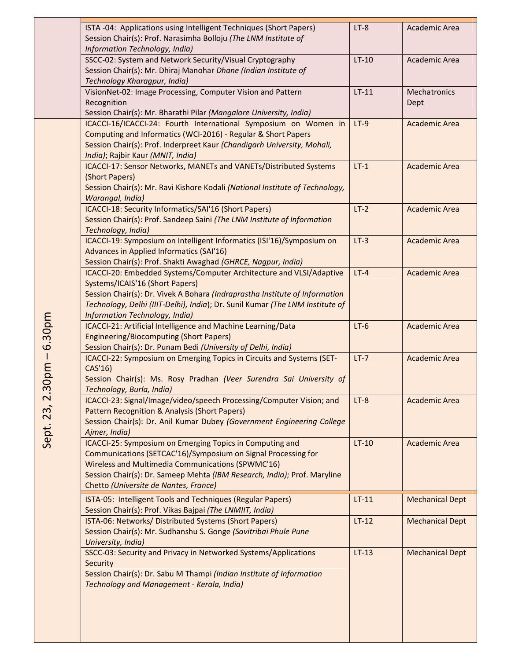| ISTA -04: Applications using Intelligent Techniques (Short Papers)<br>Session Chair(s): Prof. Narasimha Bolloju (The LNM Institute of<br>Information Technology, India)                                                                                                                                  | $LT-8$  | Academic Area          |
|----------------------------------------------------------------------------------------------------------------------------------------------------------------------------------------------------------------------------------------------------------------------------------------------------------|---------|------------------------|
| SSCC-02: System and Network Security/Visual Cryptography<br>Session Chair(s): Mr. Dhiraj Manohar Dhane (Indian Institute of<br>Technology Kharagpur, India)                                                                                                                                              | $LT-10$ | Academic Area          |
| VisionNet-02: Image Processing, Computer Vision and Pattern<br>Recognition<br>Session Chair(s): Mr. Bharathi Pilar (Mangalore University, India)                                                                                                                                                         | $LT-11$ | Mechatronics<br>Dept   |
| ICACCI-16/ICACCI-24: Fourth International Symposium on Women in<br>Computing and Informatics (WCI-2016) - Regular & Short Papers<br>Session Chair(s): Prof. Inderpreet Kaur (Chandigarh University, Mohali,<br>India); Rajbir Kaur (MNIT, India)                                                         | $LT-9$  | <b>Academic Area</b>   |
| ICACCI-17: Sensor Networks, MANETs and VANETs/Distributed Systems<br>(Short Papers)<br>Session Chair(s): Mr. Ravi Kishore Kodali (National Institute of Technology,<br>Warangal, India)                                                                                                                  | $LT-1$  | <b>Academic Area</b>   |
| ICACCI-18: Security Informatics/SAI'16 (Short Papers)<br>Session Chair(s): Prof. Sandeep Saini (The LNM Institute of Information<br>Technology, India)                                                                                                                                                   | $LT-2$  | <b>Academic Area</b>   |
| ICACCI-19: Symposium on Intelligent Informatics (ISI'16)/Symposium on<br>Advances in Applied Informatics (SAI'16)<br>Session Chair(s): Prof. Shakti Awaghad (GHRCE, Nagpur, India)                                                                                                                       | $LT-3$  | <b>Academic Area</b>   |
| ICACCI-20: Embedded Systems/Computer Architecture and VLSI/Adaptive<br>Systems/ICAIS'16 (Short Papers)<br>Session Chair(s): Dr. Vivek A Bohara (Indraprastha Institute of Information<br>Technology, Delhi (IIIT-Delhi), India); Dr. Sunil Kumar (The LNM Institute of<br>Information Technology, India) | $LT-4$  | <b>Academic Area</b>   |
| ICACCI-21: Artificial Intelligence and Machine Learning/Data<br><b>Engineering/Biocomputing (Short Papers)</b><br>Session Chair(s): Dr. Punam Bedi (University of Delhi, India)                                                                                                                          | $LT-6$  | <b>Academic Area</b>   |
| ICACCI-22: Symposium on Emerging Topics in Circuits and Systems (SET-<br>CAS'16)<br>Session Chair(s): Ms. Rosy Pradhan (Veer Surendra Sai University of<br>Technology, Burla, India)                                                                                                                     | $LT-7$  | <b>Academic Area</b>   |
| ICACCI-23: Signal/Image/video/speech Processing/Computer Vision; and<br>Pattern Recognition & Analysis (Short Papers)<br>Session Chair(s): Dr. Anil Kumar Dubey (Government Engineering College<br>Ajmer, India)                                                                                         | $LT-8$  | <b>Academic Area</b>   |
| ICACCI-25: Symposium on Emerging Topics in Computing and<br>Communications (SETCAC'16)/Symposium on Signal Processing for<br>Wireless and Multimedia Communications (SPWMC'16)<br>Session Chair(s): Dr. Sameep Mehta (IBM Research, India); Prof. Maryline<br>Chetto (Universite de Nantes, France)      | $LT-10$ | <b>Academic Area</b>   |
| ISTA-05: Intelligent Tools and Techniques (Regular Papers)<br>Session Chair(s): Prof. Vikas Bajpai (The LNMIIT, India)                                                                                                                                                                                   | $LT-11$ | <b>Mechanical Dept</b> |
| ISTA-06: Networks/ Distributed Systems (Short Papers)<br>Session Chair(s): Mr. Sudhanshu S. Gonge (Savitribai Phule Pune<br>University, India)                                                                                                                                                           | $LT-12$ | <b>Mechanical Dept</b> |
| SSCC-03: Security and Privacy in Networked Systems/Applications<br>Security<br>Session Chair(s): Dr. Sabu M Thampi (Indian Institute of Information<br>Technology and Management - Kerala, India)                                                                                                        | $LT-13$ | <b>Mechanical Dept</b> |